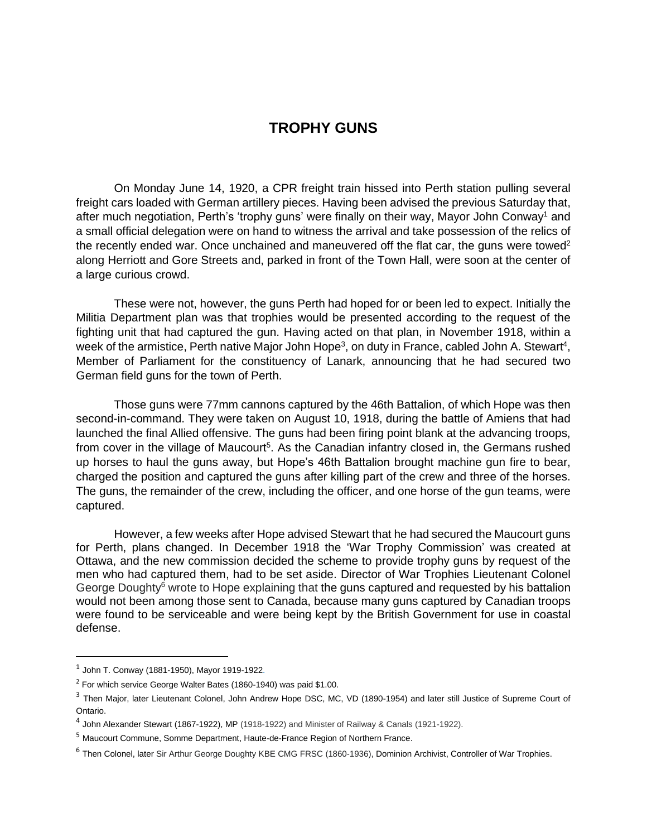## **TROPHY GUNS**

On Monday June 14, 1920, a CPR freight train hissed into Perth station pulling several freight cars loaded with German artillery pieces. Having been advised the previous Saturday that, after much negotiation, Perth's 'trophy guns' were finally on their way, Mayor John Conway<sup>1</sup> and a small official delegation were on hand to witness the arrival and take possession of the relics of the recently ended war. Once unchained and maneuvered off the flat car, the guns were towed<sup>2</sup> along Herriott and Gore Streets and, parked in front of the Town Hall, were soon at the center of a large curious crowd.

These were not, however, the guns Perth had hoped for or been led to expect. Initially the Militia Department plan was that trophies would be presented according to the request of the fighting unit that had captured the gun. Having acted on that plan, in November 1918, within a week of the armistice, Perth native Major John Hope<sup>3</sup>, on duty in France, cabled John A. Stewart<sup>4</sup>, Member of Parliament for the constituency of Lanark, announcing that he had secured two German field guns for the town of Perth.

Those guns were 77mm cannons captured by the 46th Battalion, of which Hope was then second-in-command. They were taken on August 10, 1918, during the battle of Amiens that had launched the final Allied offensive. The guns had been firing point blank at the advancing troops, from cover in the village of Maucourt<sup>5</sup>. As the Canadian infantry closed in, the Germans rushed up horses to haul the guns away, but Hope's 46th Battalion brought machine gun fire to bear, charged the position and captured the guns after killing part of the crew and three of the horses. The guns, the remainder of the crew, including the officer, and one horse of the gun teams, were captured.

However, a few weeks after Hope advised Stewart that he had secured the Maucourt guns for Perth, plans changed. In December 1918 the 'War Trophy Commission' was created at Ottawa, and the new commission decided the scheme to provide trophy guns by request of the men who had captured them, had to be set aside. Director of War Trophies Lieutenant Colonel George Doughty<sup>6</sup> wrote to Hope explaining that the guns captured and requested by his battalion would not been among those sent to Canada, because many guns captured by Canadian troops were found to be serviceable and were being kept by the British Government for use in coastal defense.

 $^1$  John T. Conway (1881-1950), Mayor 1919-1922.

<sup>&</sup>lt;sup>2</sup> For which service George Walter Bates (1860-1940) was paid \$1.00.

<sup>&</sup>lt;sup>3</sup> Then Major, later Lieutenant Colonel, John Andrew Hope DSC, MC, VD (1890-1954) and later still Justice of Supreme Court of Ontario.

<sup>&</sup>lt;sup>4</sup> John Alexander Stewart (1867-1922), MP (1918-1922) and Minister of Railway & Canals (1921-1922).

<sup>5</sup> Maucourt Commune, Somme Department, Haute-de-France Region of Northern France.

<sup>&</sup>lt;sup>6</sup> Then Colonel, later Sir Arthur George Doughty KBE CMG FRSC (1860-1936), Dominion Archivist, Controller of War Trophies.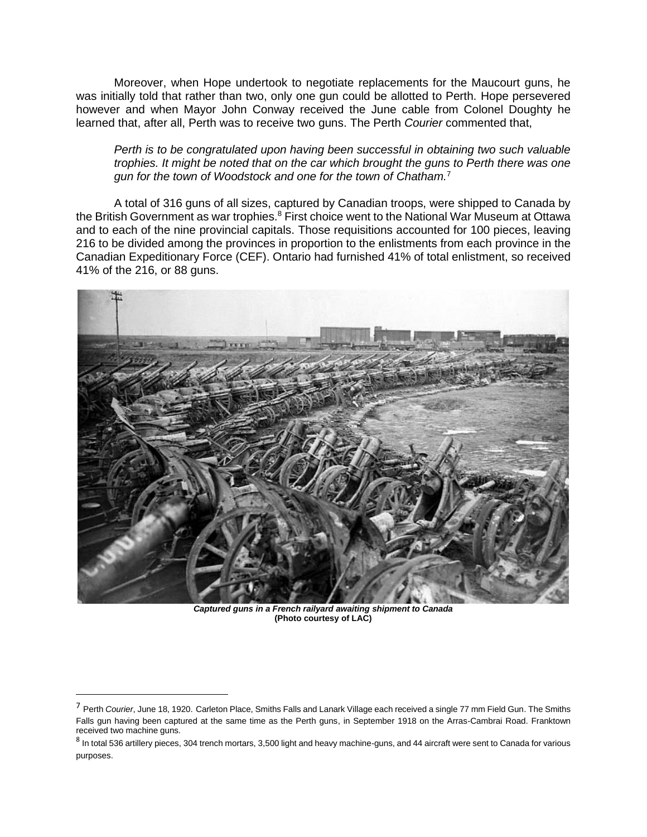Moreover, when Hope undertook to negotiate replacements for the Maucourt guns, he was initially told that rather than two, only one gun could be allotted to Perth. Hope persevered however and when Mayor John Conway received the June cable from Colonel Doughty he learned that, after all, Perth was to receive two guns. The Perth *Courier* commented that,

*Perth is to be congratulated upon having been successful in obtaining two such valuable trophies. It might be noted that on the car which brought the guns to Perth there was one gun for the town of Woodstock and one for the town of Chatham.*<sup>7</sup>

A total of 316 guns of all sizes, captured by Canadian troops, were shipped to Canada by the British Government as war trophies.<sup>8</sup> First choice went to the National War Museum at Ottawa and to each of the nine provincial capitals. Those requisitions accounted for 100 pieces, leaving 216 to be divided among the provinces in proportion to the enlistments from each province in the Canadian Expeditionary Force (CEF). Ontario had furnished 41% of total enlistment, so received 41% of the 216, or 88 guns.



*Captured guns in a French railyard awaiting shipment to Canada* **(Photo courtesy of LAC)**

<sup>7</sup> Perth *Courier*, June 18, 1920. Carleton Place, Smiths Falls and Lanark Village each received a single 77 mm Field Gun. The Smiths Falls gun having been captured at the same time as the Perth guns, in September 1918 on the Arras-Cambrai Road. Franktown received two machine guns.

 $^8$  In total 536 artillery pieces, 304 trench mortars, 3,500 light and heavy machine-guns, and 44 aircraft were sent to Canada for various purposes.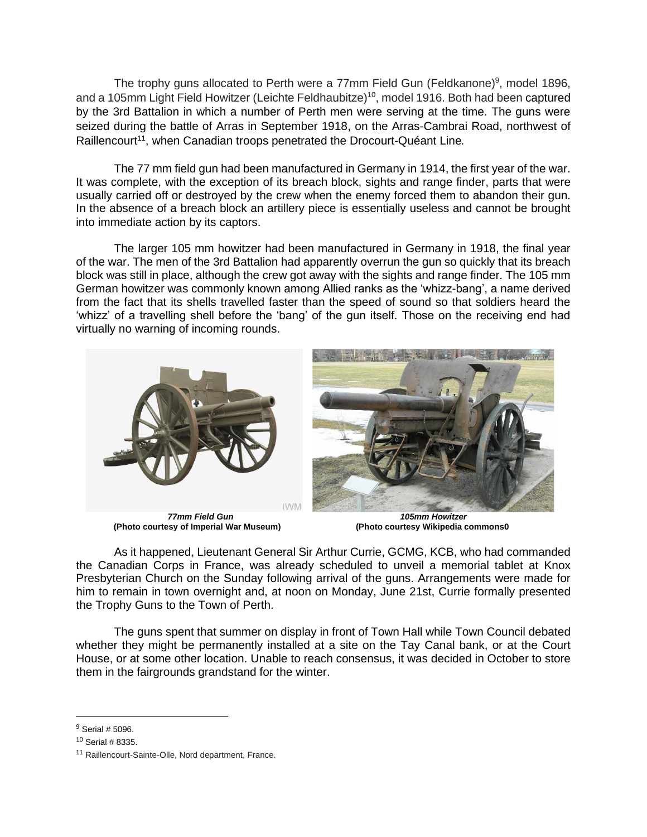The trophy guns allocated to Perth were a 77mm Field Gun (Feldkanone)<sup>9</sup>, model 1896, and a 105mm Light Field Howitzer (Leichte Feldhaubitze)<sup>10</sup>, model 1916. Both had been captured by the 3rd Battalion in which a number of Perth men were serving at the time. The guns were seized during the battle of Arras in September 1918, on the Arras-Cambrai Road, northwest of Raillencourt<sup>11</sup>, when Canadian troops penetrated the Drocourt-Quéant Line.

The 77 mm field gun had been manufactured in Germany in 1914, the first year of the war. It was complete, with the exception of its breach block, sights and range finder, parts that were usually carried off or destroyed by the crew when the enemy forced them to abandon their gun. In the absence of a breach block an artillery piece is essentially useless and cannot be brought into immediate action by its captors.

The larger 105 mm howitzer had been manufactured in Germany in 1918, the final year of the war. The men of the 3rd Battalion had apparently overrun the gun so quickly that its breach block was still in place, although the crew got away with the sights and range finder. The 105 mm German howitzer was commonly known among Allied ranks as the 'whizz-bang', a name derived from the fact that its shells travelled faster than the speed of sound so that soldiers heard the 'whizz' of a travelling shell before the 'bang' of the gun itself. Those on the receiving end had virtually no warning of incoming rounds.



**(Photo courtesy of Imperial War Museum)** 

*77mm Field Gun 105mm Howitzer*

As it happened, Lieutenant General Sir Arthur Currie, GCMG, KCB, who had commanded the Canadian Corps in France, was already scheduled to unveil a memorial tablet at Knox Presbyterian Church on the Sunday following arrival of the guns. Arrangements were made for him to remain in town overnight and, at noon on Monday, June 21st, Currie formally presented the Trophy Guns to the Town of Perth.

The guns spent that summer on display in front of Town Hall while Town Council debated whether they might be permanently installed at a site on the Tay Canal bank, or at the Court House, or at some other location. Unable to reach consensus, it was decided in October to store them in the fairgrounds grandstand for the winter.

<sup>9</sup> Serial # 5096.

 $10$  Serial # 8335.

<sup>11</sup> Raillencourt-Sainte-Olle, Nord department, France.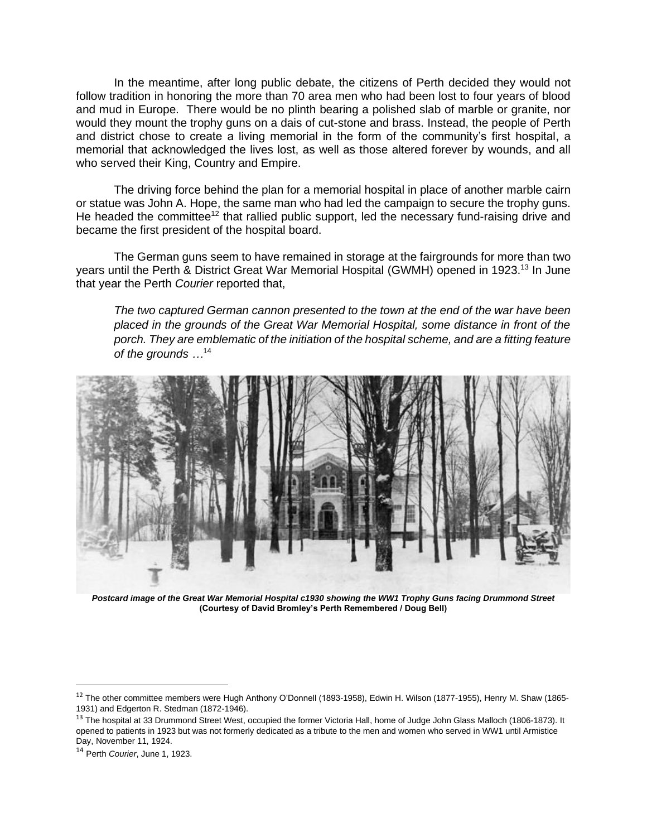In the meantime, after long public debate, the citizens of Perth decided they would not follow tradition in honoring the more than 70 area men who had been lost to four years of blood and mud in Europe. There would be no plinth bearing a polished slab of marble or granite, nor would they mount the trophy guns on a dais of cut-stone and brass. Instead, the people of Perth and district chose to create a living memorial in the form of the community's first hospital, a memorial that acknowledged the lives lost, as well as those altered forever by wounds, and all who served their King, Country and Empire.

The driving force behind the plan for a memorial hospital in place of another marble cairn or statue was John A. Hope, the same man who had led the campaign to secure the trophy guns. He headed the committee<sup>12</sup> that rallied public support, led the necessary fund-raising drive and became the first president of the hospital board.

The German guns seem to have remained in storage at the fairgrounds for more than two years until the Perth & District Great War Memorial Hospital (GWMH) opened in 1923.<sup>13</sup> In June that year the Perth *Courier* reported that,

*The two captured German cannon presented to the town at the end of the war have been placed in the grounds of the Great War Memorial Hospital, some distance in front of the porch. They are emblematic of the initiation of the hospital scheme, and are a fitting feature of the grounds …*<sup>14</sup>



*Postcard image of the Great War Memorial Hospital c1930 showing the WW1 Trophy Guns facing Drummond Street* **(Courtesy of David Bromley's Perth Remembered / Doug Bell)**

<sup>&</sup>lt;sup>12</sup> The other committee members were Hugh Anthony O'Donnell (1893-1958), Edwin H. Wilson (1877-1955), Henry M. Shaw (1865-1931) and Edgerton R. Stedman (1872-1946).

<sup>&</sup>lt;sup>13</sup> The hospital at 33 Drummond Street West, occupied the former Victoria Hall, home of Judge John Glass Malloch (1806-1873). It opened to patients in 1923 but was not formerly dedicated as a tribute to the men and women who served in WW1 until Armistice Day, November 11, 1924.

<sup>14</sup> Perth *Courier*, June 1, 1923.